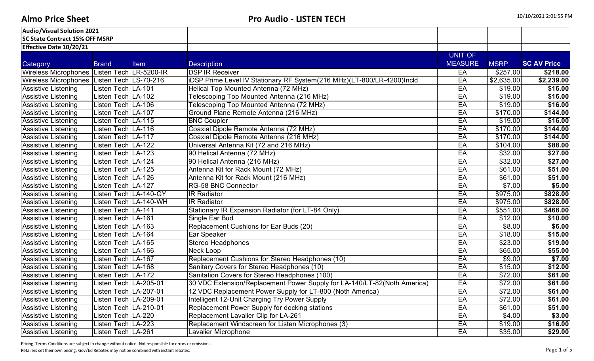| Audio/Visual Solution 2021                  |                         |                       |                                                                          |                |             |                    |
|---------------------------------------------|-------------------------|-----------------------|--------------------------------------------------------------------------|----------------|-------------|--------------------|
| <b>SC State Contract 15% OFF MSRP</b>       |                         |                       |                                                                          |                |             |                    |
| <b>Effective Date 10/20/21</b>              |                         |                       |                                                                          |                |             |                    |
|                                             |                         |                       |                                                                          | <b>UNIT OF</b> |             |                    |
| Category                                    | <b>Brand</b>            | Item                  | <b>Description</b>                                                       | <b>MEASURE</b> | <b>MSRP</b> | <b>SC AV Price</b> |
| Wireless Microphones Listen Tech LR-5200-IR |                         |                       | <b>DSP IR Receiver</b>                                                   | EA             | \$257.00    | $\sqrt{218.00}$    |
| Wireless Microphones Listen Tech LS-70-216  |                         |                       | iDSP Prime Level IV Stationary RF System(216 MHz)(LT-800/LR-4200)Incld.  | EA             | \$2,635.00  | \$2,239.00         |
| <b>Assistive Listening</b>                  | Listen Tech LA-101      |                       | Helical Top Mounted Antenna (72 MHz)                                     | EA             | \$19.00     | \$16.00            |
| <b>Assistive Listening</b>                  | Listen Tech LA-102      |                       | Telescoping Top Mounted Antenna (216 MHz)                                | EA             | \$19.00     | \$16.00            |
| <b>Assistive Listening</b>                  | Listen Tech LA-106      |                       | Telescoping Top Mounted Antenna (72 MHz)                                 | EA             | \$19.00     | \$16.00            |
| <b>Assistive Listening</b>                  | Listen Tech LA-107      |                       | Ground Plane Remote Antenna (216 MHz)                                    | EA             | \$170.00    | \$144.00           |
| <b>Assistive Listening</b>                  | Listen Tech LA-115      |                       | <b>BNC Coupler</b>                                                       | EA             | \$19.00     | \$16.00            |
| <b>Assistive Listening</b>                  | Listen Tech LA-116      |                       | Coaxial Dipole Remote Antenna (72 MHz)                                   | EA             | \$170.00    | \$144.00           |
| <b>Assistive Listening</b>                  | Listen Tech LA-117      |                       | Coaxial Dipole Remote Antenna (216 MHz)                                  | EA             | \$170.00    | \$144.00           |
| <b>Assistive Listening</b>                  | Listen Tech LA-122      |                       | Universal Antenna Kit (72 and 216 MHz)                                   | EA             | \$104.00    | \$88.00            |
| <b>Assistive Listening</b>                  | Listen Tech LA-123      |                       | 90 Helical Antenna (72 MHz)                                              | EA             | \$32.00     | \$27.00            |
| <b>Assistive Listening</b>                  | Listen Tech LA-124      |                       | 90 Helical Antenna (216 MHz)                                             | EA             | \$32.00     | \$27.00            |
| <b>Assistive Listening</b>                  | Listen Tech LA-125      |                       | Antenna Kit for Rack Mount (72 MHz)                                      | EA             | \$61.00     | \$51.00            |
| <b>Assistive Listening</b>                  | Listen Tech LA-126      |                       | Antenna Kit for Rack Mount (216 MHz)                                     | EA             | \$61.00     | \$51.00            |
| <b>Assistive Listening</b>                  | Listen Tech LA-127      |                       | <b>RG-58 BNC Connector</b>                                               | EA             | \$7.00      | \$5.00             |
| <b>Assistive Listening</b>                  | Listen Tech LA-140-GY   |                       | <b>IR Radiator</b>                                                       | EA             | \$975.00    | \$828.00           |
| <b>Assistive Listening</b>                  |                         | Listen Tech LA-140-WH | <b>IR Radiator</b>                                                       | EA             | \$975.00    | \$828.00           |
| <b>Assistive Listening</b>                  | Listen Tech LA-141      |                       | Stationary IR Expansion Radiator (for LT-84 Only)                        | EA             | \$551.00    | \$468.00           |
| <b>Assistive Listening</b>                  | Listen Tech LA-161      |                       | Single Ear Bud                                                           | EA             | \$12.00     | \$10.00            |
| <b>Assistive Listening</b>                  | Listen Tech LA-163      |                       | Replacement Cushions for Ear Buds (20)                                   | EA             | \$8.00      | \$6.00             |
| <b>Assistive Listening</b>                  | Listen Tech LA-164      |                       | Ear Speaker                                                              | EA             | \$18.00     | \$15.00            |
| <b>Assistive Listening</b>                  | Listen Tech   LA-165    |                       | <b>Stereo Headphones</b>                                                 | EA             | \$23.00     | \$19.00            |
| <b>Assistive Listening</b>                  | Listen Tech LA-166      |                       | <b>Neck Loop</b>                                                         | EA             | \$65.00     | \$55.00            |
| <b>Assistive Listening</b>                  | Listen Tech LA-167      |                       | Replacement Cushions for Stereo Headphones (10)                          | EA             | \$9.00      | \$7.00             |
| <b>Assistive Listening</b>                  | Listen Tech LA-168      |                       | Sanitary Covers for Stereo Headphones (10)                               | EA             | \$15.00     | \$12.00            |
| <b>Assistive Listening</b>                  | Listen Tech LA-172      |                       | Sanitation Covers for Stereo Headphones (100)                            | EA             | \$72.00     | \$61.00            |
| <b>Assistive Listening</b>                  | Listen Tech   LA-205-01 |                       | 30 VDC Extension/Replacement Power Supply for LA-140/LT-82(Noth America) | EA             | \$72.00     | \$61.00            |
| <b>Assistive Listening</b>                  | Listen Tech LA-207-01   |                       | 12 VDC Replacement Power Supply for LT-800 (Noth America)                | EA             | \$72.00     | \$61.00            |
| <b>Assistive Listening</b>                  | Listen Tech LA-209-01   |                       | Intelligent 12-Unit Charging Try Power Supply                            | EA             | \$72.00     | \$61.00            |
| Assistive Listening                         | Listen Tech   LA-210-01 |                       | Replacement Power Supply for docking stations                            | EA             | \$61.00     | \$51.00            |
| <b>Assistive Listening</b>                  | Listen Tech LA-220      |                       | Replacement Lavalier Clip for LA-261                                     | EA             | \$4.00      | \$3.00             |
| <b>Assistive Listening</b>                  | Listen Tech LA-223      |                       | Replacement Windscreen for Listen Microphones (3)                        | EA             | \$19.00     | \$16.00            |
| <b>Assistive Listening</b>                  | Listen Tech LA-261      |                       | Lavalier Microphone                                                      | EA             | \$35.00     | \$29.00            |

Pricing, Terms Conditions are subject to change without notice. Not responsible for errors or omissions.

Retailers set their own pricing. Gov/Ed Rebates may not be combined with instant rebates. Page 1 of 5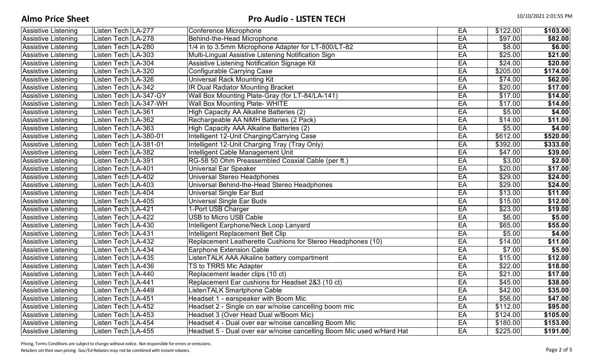| <b>Assistive Listening</b> | Listen Tech   LA-277    |                       | Conference Microphone                                                 | EA | \$122.00       | \$103.00 |
|----------------------------|-------------------------|-----------------------|-----------------------------------------------------------------------|----|----------------|----------|
| <b>Assistive Listening</b> | Listen Tech   LA-278    |                       | Behind-the-Head Microphone                                            | EA | \$97.00        | \$82.00  |
| <b>Assistive Listening</b> | Listen Tech   LA-280    |                       | 1/4 in to 3.5mm Microphone Adapter for LT-800/LT-82                   | EA | \$8.00         | \$6.00   |
| <b>Assistive Listening</b> | Listen Tech LA-303      |                       | Multi-Lingual Assistive Listening Notification Sign                   | EA | \$25.00        | \$21.00  |
| <b>Assistive Listening</b> | Listen Tech LA-304      |                       | Assistive Listening Notification Signage Kit                          | EA | \$24.00        | \$20.00  |
| <b>Assistive Listening</b> | Listen Tech LA-320      |                       | Configurable Carrying Case                                            | EA | \$205.00       | \$174.00 |
| <b>Assistive Listening</b> | Listen Tech   LA-326    |                       | Universal Rack Mounting Kit                                           | EA | \$74.00        | \$62.00  |
| <b>Assistive Listening</b> | Listen Tech   LA-342    |                       | <b>IR Dual Radiator Mounting Bracket</b>                              | EA | \$20.00        | \$17.00  |
| <b>Assistive Listening</b> | Listen Tech   LA-347-GY |                       | Wall Box Mounting Plate-Gray (for LT-84/LA-141)                       | EA | \$17.00        | \$14.00  |
| <b>Assistive Listening</b> |                         | Listen Tech LA-347-WH | Wall Box Mounting Plate- WHITE                                        | EA | \$17.00        | \$14.00  |
| <b>Assistive Listening</b> | Listen Tech LA-361      |                       | High Capacity AA Alkaline Batteries (2)                               | EA | \$5.00         | \$4.00   |
| <b>Assistive Listening</b> | Listen Tech LA-362      |                       | Rechargeable AA NiMH Batteries (2 Pack)                               | EA | \$14.00        | \$11.00  |
| <b>Assistive Listening</b> | Listen Tech LA-363      |                       | High Capacity AAA Alkaline Batteries (2)                              | EA | \$5.00         | \$4.00   |
| <b>Assistive Listening</b> | Listen Tech   LA-380-01 |                       | Intelligent 12-Unit Charging/Carrying Case                            | EA | \$612.00       | \$520.00 |
| <b>Assistive Listening</b> | Listen Tech   LA-381-01 |                       | Intelligent 12-Unit Charging Tray (Tray Only)                         | EA | \$392.00       | \$333.00 |
| <b>Assistive Listening</b> | Listen Tech LA-382      |                       | Intelligent Cable Management Unit                                     | EA | \$47.00        | \$39.00  |
| <b>Assistive Listening</b> | Listen Tech   LA-391    |                       | RG-58 50 Ohm Preassembled Coaxial Cable (per ft.)                     | EA | \$3.00         | \$2.00   |
| Assistive Listening        | Listen Tech LA-401      |                       | <b>Universal Ear Speaker</b>                                          | EA | \$20.00        | \$17.00  |
| <b>Assistive Listening</b> | Listen Tech LA-402      |                       | Universal Stereo Headphones                                           | EA | \$29.00        | \$24.00  |
| <b>Assistive Listening</b> | Listen Tech   LA-403    |                       | Universal Behind-the-Head Stereo Headphones                           | EA | \$29.00        | \$24.00  |
| <b>Assistive Listening</b> | Listen Tech LA-404      |                       | Universal Single Ear Bud                                              | EA | \$13.00        | \$11.00  |
| <b>Assistive Listening</b> | Listen Tech LA-405      |                       | <b>Universal Single Ear Buds</b>                                      | EA | \$15.00        | \$12.00  |
| <b>Assistive Listening</b> | Listen Tech LA-421      |                       | 1-Port USB Charger                                                    | EA | \$23.00        | \$19.00  |
| <b>Assistive Listening</b> | Listen Tech LA-422      |                       | <b>USB to Micro USB Cable</b>                                         | EA | $\sqrt{$6.00}$ | \$5.00   |
| Assistive Listening        | Listen Tech   LA-430    |                       | <b>Intelligent Earphone/Neck Loop Lanyard</b>                         | EA | \$65.00        | \$55.00  |
| <b>Assistive Listening</b> | Listen Tech LA-431      |                       | Intelligent Replacement Belt Clip                                     | EA | \$5.00         | \$4.00   |
| <b>Assistive Listening</b> | Listen Tech LA-432      |                       | Replacement Leatherette Cushions for Stereo Headphones (10)           | EA | \$14.00        | \$11.00  |
| <b>Assistive Listening</b> | Listen Tech   LA-434    |                       | <b>Earphone Extension Cable</b>                                       | EA | \$7.00         | \$5.00   |
| <b>Assistive Listening</b> | Listen Tech   LA-435    |                       | ListenTALK AAA Alkaline battery compartment                           | EA | \$15.00        | \$12.00  |
| <b>Assistive Listening</b> | Listen Tech LA-436      |                       | <b>TS to TRRS Mic Adapter</b>                                         | EA | \$22.00        | \$18.00  |
| <b>Assistive Listening</b> | Listen Tech   LA-440    |                       | Replacement leader clips (10 ct)                                      | EA | \$21.00        | \$17.00  |
| <b>Assistive Listening</b> | Listen Tech LA-441      |                       | Replacement Ear cushions for Headset 2&3 (10 ct)                      | EA | \$45.00        | \$38.00  |
| <b>Assistive Listening</b> | Listen Tech LA-449      |                       | ListenTALK Smartphone Cable                                           | EA | \$42.00        | \$35.00  |
| <b>Assistive Listening</b> | Listen Tech   LA-451    |                       | Headset 1 - earspeaker with Boom Mic                                  | EA | \$56.00        | \$47.00  |
| Assistive Listening        | Listen Tech LA-452      |                       | Headset 2 - Single on ear w/noise cancelling boom mic                 | EA | \$112.00       | \$95.00  |
| <b>Assistive Listening</b> | Listen Tech   LA-453    |                       | Headset 3 (Over Head Dual w/Boom Mic)                                 | EA | \$124.00       | \$105.00 |
| <b>Assistive Listening</b> | Listen Tech LA-454      |                       | Headset 4 - Dual over ear w/noise cancelling Boom Mic                 | EA | \$180.00       | \$153.00 |
| <b>Assistive Listening</b> | Listen Tech LA-455      |                       | Headset 5 - Dual over ear w/noise cancelling Boom Mic used w/Hard Hat | EA | \$225.00       | \$191.00 |

Pricing, Terms Conditions are subject to change without notice. Not responsible for errors or omissions.

Retailers set their own pricing. Gov/Ed Rebates may not be combined with instant rebates. Page 2 of 5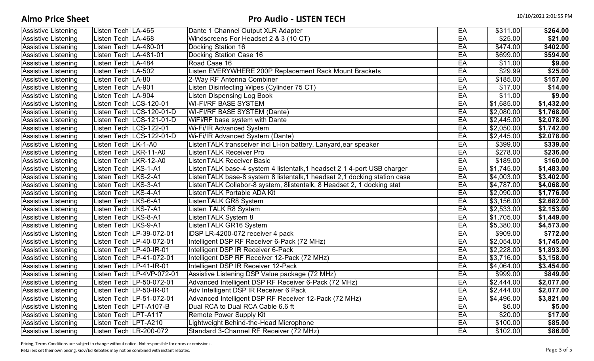## **Almo Price Sheet** 10/10/2021 2:01:55 PM

| <b>Assistive Listening</b> | Listen Tech   LA-465   |                            | Dante 1 Channel Output XLR Adapter                                         | EA | \$311.00   | \$264.00   |
|----------------------------|------------------------|----------------------------|----------------------------------------------------------------------------|----|------------|------------|
| <b>Assistive Listening</b> | Listen Tech LA-468     |                            | Windscreens For Headset 2 & 3 (10 CT)                                      | EA | \$25.00    | \$21.00    |
| <b>Assistive Listening</b> | Listen Tech LA-480-01  |                            | Docking Station 16                                                         | EA | \$474.00   | \$402.00   |
| <b>Assistive Listening</b> | Listen Tech LA-481-01  |                            | <b>Docking Station Case 16</b>                                             | EA | \$699.00   | \$594.00   |
| <b>Assistive Listening</b> | Listen Tech LA-484     |                            | Road Case 16                                                               | EA | \$11.00    | \$9.00     |
| <b>Assistive Listening</b> | Listen Tech LA-502     |                            | Listen EVERYWHERE 200P Replacement Rack Mount Brackets                     | EA | \$29.99    | \$25.00    |
| <b>Assistive Listening</b> | Listen Tech LA-80      |                            | 2-Way RF Antenna Combiner                                                  | EA | \$185.00   | \$157.00   |
| <b>Assistive Listening</b> | Listen Tech LA-901     |                            | Listen Disinfecting Wipes (Cylinder 75 CT)                                 | EA | \$17.00    | \$14.00    |
| <b>Assistive Listening</b> | Listen Tech LA-904     |                            | <b>Listen Dispensing Log Book</b>                                          | EA | \$11.00    | \$9.00     |
| <b>Assistive Listening</b> |                        | Listen Tech LCS-120-01     | <b>WI-FI/RF BASE SYSTEM</b>                                                | EA | \$1,685.00 | \$1,432.00 |
| <b>Assistive Listening</b> |                        | Listen Tech LCS-120-01-D   | WI-FI/RF BASE SYSTEM (Dante)                                               | EA | \$2,080.00 | \$1,768.00 |
| <b>Assistive Listening</b> |                        | Listen Tech LCS-121-01-D   | WiFi/RF base system with Dante                                             | EA | \$2,445.00 | \$2,078.00 |
| <b>Assistive Listening</b> |                        | Listen Tech LCS-122-01     | <b>Wi-Fi/IR Advanced System</b>                                            | EA | \$2,050.00 | \$1,742.00 |
| <b>Assistive Listening</b> |                        | Listen Tech LCS-122-01-D   | Wi-Fi/IR Advanced System (Dante)                                           | EA | \$2,445.00 | \$2,078.00 |
| <b>Assistive Listening</b> | Listen Tech LK-1-A0    |                            | ListenTALK transceiver incl Li-ion battery, Lanyard, ear speaker           | EA | \$399.00   | \$339.00   |
| Assistive Listening        | Listen Tech LKR-11-A0  |                            | <b>ListenTALK Receiver Pro</b>                                             | EA | \$278.00   | \$236.00   |
| <b>Assistive Listening</b> | Listen Tech LKR-12-A0  |                            | <b>ListenTALK Receiver Basic</b>                                           | EA | \$189.00   | \$160.00   |
| <b>Assistive Listening</b> | Listen Tech   LKS-1-A1 |                            | ListenTALK base-4 system 4 listentalk, 1 headset 2 1 4-port USB charger    | EA | \$1,745.00 | \$1,483.00 |
| <b>Assistive Listening</b> | Listen Tech   LKS-2-A1 |                            | ListenTALK base-8 system 8 listentalk, 1 headset 2, 1 docking station case | EA | \$4,003.00 | \$3,402.00 |
| Assistive Listening        | Listen Tech   LKS-3-A1 |                            | ListenTALK Collabor-8 system, 8listentalk, 8 Headset 2, 1 docking stat     | EA | \$4,787.00 | \$4,068.00 |
| <b>Assistive Listening</b> | Listen Tech LKS-4-A1   |                            | ListenTALK Portable ADA Kit                                                | EA | \$2,090.00 | \$1,776.00 |
| <b>Assistive Listening</b> | Listen Tech   LKS-6-A1 |                            | ListenTALK GR8 System                                                      | EA | \$3,156.00 | \$2,682.00 |
| Assistive Listening        | Listen Tech LKS-7-A1   |                            | Listen TALK R8 System                                                      | EA | \$2,533.00 | \$2,153.00 |
| <b>Assistive Listening</b> | Listen Tech   LKS-8-A1 |                            | ListenTALK System 8                                                        | EA | \$1,705.00 | \$1,449.00 |
| <b>Assistive Listening</b> | Listen Tech LKS-9-A1   |                            | ListenTALK GR16 System                                                     | EA | \$5,380.00 | \$4,573.00 |
| <b>Assistive Listening</b> |                        | Listen Tech LP-39-072-01   | iDSP LR-4200-072 receiver 4 pack                                           | EA | \$909.00   | \$772.00   |
| <b>Assistive Listening</b> |                        | Listen Tech   LP-40-072-01 | Intelligent DSP RF Receiver 6-Pack (72 MHz)                                | EA | \$2,054.00 | \$1,745.00 |
| <b>Assistive Listening</b> |                        | Listen Tech LP-40-IR-01    | Intelligent DSP IR Receiver 6-Pack                                         | EA | \$2,228.00 | \$1,893.00 |
| <b>Assistive Listening</b> |                        | Listen Tech   LP-41-072-01 | Intelligent DSP RF Receiver 12-Pack (72 MHz)                               | EA | \$3,716.00 | \$3,158.00 |
| <b>Assistive Listening</b> |                        | Listen Tech LP-41-IR-01    | Intelligent DSP IR Receiver 12-Pack                                        | EA | \$4,064.00 | \$3,454.00 |
| <b>Assistive Listening</b> |                        | Listen Tech LP-4VP-072-01  | Assistive Listening DSP Value package (72 MHz)                             | EA | \$999.00   | \$849.00   |
| <b>Assistive Listening</b> |                        | Listen Tech   LP-50-072-01 | Advanced Intelligent DSP RF Receiver 6-Pack (72 MHz)                       | EA | \$2,444.00 | \$2,077.00 |
| <b>Assistive Listening</b> |                        | Listen Tech LP-50-IR-01    | Adv Intelligent DSP IR Receiver 6 Pack                                     | EA | \$2,444.00 | \$2,077.00 |
| <b>Assistive Listening</b> |                        | Listen Tech LP-51-072-01   | Advanced Intelligent DSP RF Receiver 12-Pack (72 MHz)                      | EA | \$4,496.00 | \$3,821.00 |
| <b>Assistive Listening</b> |                        | Listen Tech LPT-A107-B     | Dual RCA to Dual RCA Cable 6.6 ft                                          | EA | \$6.00     | \$5.00     |
| <b>Assistive Listening</b> | Listen Tech LPT-A117   |                            | <b>Remote Power Supply Kit</b>                                             | EA | \$20.00    | \$17.00    |
| <b>Assistive Listening</b> | Listen Tech LPT-A210   |                            | Lightweight Behind-the-Head Microphone                                     | EA | \$100.00   | \$85.00    |
| <b>Assistive Listening</b> |                        | Listen Tech LR-200-072     | Standard 3-Channel RF Receiver (72 MHz)                                    | EA | \$102.00   | \$86.00    |

Pricing, Terms Conditions are subject to change without notice. Not responsible for errors or omissions.

Retailers set their own pricing. Gov/Ed Rebates may not be combined with instant rebates. Page 3 of 5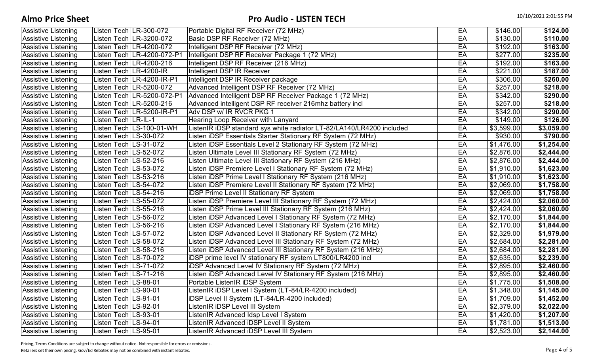## **Almo Price Sheet** 10/10/2021 2:01:55 PM

| <b>Assistive Listening</b> |                       | Listen Tech LR-300-072     | Portable Digital RF Receiver (72 MHz)                                 | EA | \$146.00   | \$124.00              |
|----------------------------|-----------------------|----------------------------|-----------------------------------------------------------------------|----|------------|-----------------------|
| Assistive Listening        |                       | Listen Tech LR-3200-072    | Basic DSP RF Receiver (72 MHz)                                        | EA | \$130.00   | \$110.00              |
| <b>Assistive Listening</b> |                       | Listen Tech LR-4200-072    | Intelligent DSP RF Receiver (72 MHz)                                  | EA | \$192.00   | \$163.00              |
| Assistive Listening        |                       | Listen Tech LR-4200-072-P1 | Intelligent DSP RF Receiver Package 1 (72 MHz)                        | EA | \$277.00   | \$235.00              |
| <b>Assistive Listening</b> |                       | Listen Tech LR-4200-216    | Intelligent DSP RF Receiver (216 MHz)                                 | EA | \$192.00   | \$163.00              |
| Assistive Listening        |                       | Listen Tech LR-4200-IR     | <b>Intelligent DSP IR Receiver</b>                                    | EA | \$221.00   | \$187.00              |
| <b>Assistive Listening</b> |                       | Listen Tech LR-4200-IR-P1  | Intelligent DSP IR Receiver package                                   | EA | \$306.00   | \$260.00              |
| <b>Assistive Listening</b> |                       | Listen Tech LR-5200-072    | Advanced Intelligent DSP RF Receiver (72 MHz)                         | EA | \$257.00   | \$218.00              |
| <b>Assistive Listening</b> |                       | Listen Tech LR-5200-072-P1 | Advanced Intelligent DSP RF Receiver Package 1 (72 MHz)               | EA | \$342.00   | \$290.00              |
| <b>Assistive Listening</b> |                       | Listen Tech LR-5200-216    | Advanced intelligent DSP RF receiver 216mhz battery incl              | EA | \$257.00   | \$218.00              |
| <b>Assistive Listening</b> |                       | Listen Tech LR-5200-IR-P1  | Adv DSP w/ IR RVCR PKG 1                                              | EA | \$342.00   | \$290.00              |
| <b>Assistive Listening</b> | Listen Tech LR-IL-1   |                            | Hearing Loop Receiver with Lanyard                                    | EA | \$149.00   | \$126.00              |
| <b>Assistive Listening</b> |                       | Listen Tech LS-100-01-WH   | ListenIR iDSP standard sys white radiator LT-82/LA140/LR4200 included | EA | \$3,599.00 | \$3,059.00            |
| <b>Assistive Listening</b> | Listen Tech LS-30-072 |                            | Listen iDSP Essentials Starter Stationary RF System (72 MHz)          | EA | \$930.00   | \$790.00              |
| <b>Assistive Listening</b> | Listen Tech LS-31-072 |                            | Listen iDSP Essentials Level 2 Stationary RF System (72 MHz)          | EA | \$1,476.00 | \$1,254.00            |
| Assistive Listening        | Listen Tech LS-52-072 |                            | Listen Ultimate Level III Stationary RF System (72 MHz)               | EA | \$2,876.00 | \$2,444.00            |
| <b>Assistive Listening</b> | Listen Tech LS-52-216 |                            | Listen Ultimate Level III Stationary RF System (216 MHz)              | EA | \$2,876.00 | \$2,444.00            |
| <b>Assistive Listening</b> | Listen Tech LS-53-072 |                            | Listen iDSP Premiere Level I Stationary RF System (72 MHz)            | EA | \$1,910.00 | \$1,623.00            |
| <b>Assistive Listening</b> | Listen Tech LS-53-216 |                            | Listen iDSP Prime Level I Stationary RF System (216 MHz)              | EA | \$1,910.00 | \$1,623.00            |
| <b>Assistive Listening</b> | Listen Tech LS-54-072 |                            | Listen iDSP Premiere Level II Stationary RF System (72 MHz)           | EA | \$2,069.00 | \$1,758.00            |
| <b>Assistive Listening</b> | Listen Tech LS-54-216 |                            | <b>iDSP Prime Level II Stationary RF System</b>                       | EA | \$2,069.00 | \$1,758.00            |
| <b>Assistive Listening</b> | Listen Tech LS-55-072 |                            | Listen iDSP Premiere Level III Stationary RF System (72 MHz)          | EA | \$2,424.00 | \$2,060.00            |
| Assistive Listening        | Listen Tech LS-55-216 |                            | Listen iDSP Prime Level III Stationary RF System (216 MHz)            | EA | \$2,424.00 | \$2,060.00            |
| Assistive Listening        | Listen Tech LS-56-072 |                            | Listen iDSP Advanced Level I Stationary RF System (72 MHz)            | EA | \$2,170.00 | \$1,844.00            |
| Assistive Listening        | Listen Tech LS-56-216 |                            | Listen iDSP Advanced Level I Stationary RF System (216 MHz)           | EA | \$2,170.00 | \$1,844.00            |
| Assistive Listening        | Listen Tech LS-57-072 |                            | Listen iDSP Advanced Level II Stationary RF System (72 MHz)           | EA | \$2,329.00 | \$1,979.00            |
| Assistive Listening        | Listen Tech LS-58-072 |                            | Listen iDSP Advanced Level III Stationary RF System (72 MHz)          | EA | \$2,684.00 | \$2,281.00            |
| Assistive Listening        | Listen Tech LS-58-216 |                            | Listen iDSP Advanced Level III Stationary RF System (216 MHz)         | EA | \$2,684.00 | \$2,281.00            |
| Assistive Listening        | Listen Tech LS-70-072 |                            | iDSP prime level IV stationary RF system LT800/LR4200 incl            | EA | \$2,635.00 | \$2,239.00            |
| Assistive Listening        | Listen Tech LS-71-072 |                            | <b>iDSP Advanced Level IV Stationary RF System (72 MHz)</b>           | EA | \$2,895.00 | $\sqrt{2,460.00}$     |
| Assistive Listening        | Listen Tech LS-71-216 |                            | Listen iDSP Advanced Level IV Stationary RF System (216 MHz)          | EA | \$2,895.00 | \$2,460.00            |
| Assistive Listening        | Listen Tech LS-88-01  |                            | Portable ListenIR iDSP System                                         | EA | \$1,775.00 | \$1,508.00            |
| Assistive Listening        | Listen Tech LS-90-01  |                            | ListenIR iDSP Level I System (LT-84/LR-4200 included)                 | EA | \$1,348.00 | \$1,145.00            |
| <b>Assistive Listening</b> | Listen Tech LS-91-01  |                            | iDSP Level II System (LT-84/LR-4200 included)                         | EA | \$1,709.00 | \$1,452.00            |
| Assistive Listening        | Listen Tech LS-92-01  |                            | ListenIR iDSP Level III System                                        | EA | \$2,379.00 | \$2,022.00            |
| <b>Assistive Listening</b> | Listen Tech LS-93-01  |                            | ListenIR Advanced Idsp Level I System                                 | EA | \$1,420.00 | \$1,207.00            |
| <b>Assistive Listening</b> | Listen Tech LS-94-01  |                            | ListenIR Advanced iDSP Level II System                                | EA | \$1,781.00 | $\overline{1,513.00}$ |
| <b>Assistive Listening</b> | Listen Tech LS-95-01  |                            | ListenIR Advanced iDSP Level III System                               | EA | \$2,523.00 | \$2,144.00            |

Pricing, Terms Conditions are subject to change without notice. Not responsible for errors or omissions.

Retailers set their own pricing. Gov/Ed Rebates may not be combined with instant rebates. Page 4 of 5